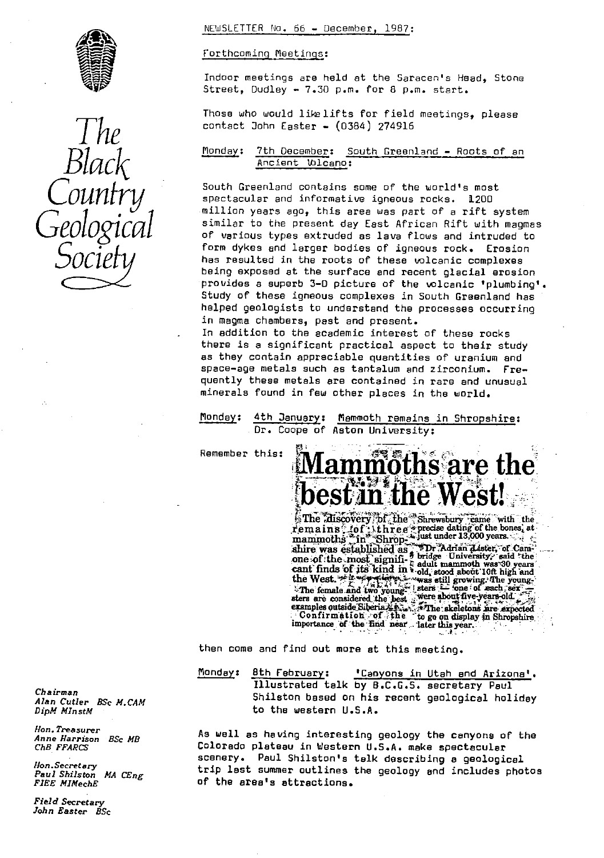



## NEWSLETTER No. 66 - December, 1987:

Forthcoming Meetings :

Indoor meetings are held at the Saracen's Head, Stone Street, Dudley - 7.30 p.m. for 8 p.m. start.

Those who would like lifts for field meetings, please contact John Easter - (0384) 274916<br>Monday: 7th December: South Green

Tth December: South Greenland - Roots of an *Ancient Wicano:* 

South Greenland contains some of the world's most<br>spectacular and informative igneous rocks. 1200 million years ago, this area was part of a rift system similar to the present day East African Rift with magmas of various types extruded as lava flows and intruded to form dykes and larger bodies of igneous rock. Erosion has resulted in the roots of these volcanic complexes being exposed at the surface and recent glacial erosion provides a superb 3-0 picture of the volcanic 'plumbing'. Study of these igneous complexes in South Greenland has helped geologists to understand the processes occurring in magma chambers, past and present. In addition to the academic interest of these rocks there is a significant practical aspect to their study as they contain appreciable quantities of uranium and space-age metals such as tantalum and zirconium. Frequently these metals are contained in rare and unusual

Monday: 4th January: Mammoth remains in Shropshire: Dr. Coops of Aston University:

minerals found in few other places in the world.

Remember this:

 $\frac{1}{2}$  the west!  $\frac{1}{2}$ 

the

**best in the West!**<br>The ausovery bf the `Sheewgbury<sup>`came</sup> with the<br>remains! ..df : three \*precise dating of the bones; at mammoths  $\sum_{i=1}^{N}$  Shrop ; wjust under 13,000 years. shire was established as a Dr. Adrian Lister, of Cameron one of the most signifi-<br>one of the most significant build be a control of the dual mannoth was 30 years<br>cant finds of its kind in a old stood about 10ft high and<br>th examples outside Siberia **4.5.**<br>• Confirm at ion of the to go on display in Shropshire<br>importance of the find near... later this year.

then come and find out more at this meeting.

Monday: 8th February: 'Canyons in Utah and Arizona'. Illustrated talk by 8.C.G.5. secretary Paul" *Alan Cutler BSc M.CAM* Shilston based on his recent geological holiday to the western U.S.A.

non.*T*reasurer<br>Anne Harrison *BSc MB* As well as having interesting geology the canyons of the<br>ChB FFARCS Colorado plateau in Western U.S.A. make spectacular Colorado plateau in Western U.S.A. make spectacular scenery. Paul Shilston's talk describing a geological<br>Pau*l Shilston MA CEng* trip last summer outlines the geology and includes photogy and the peology and includes photogy and includes and the motogy and includes  $\hat{r}$ Paul *Shilston* MA *CEng* trip last summer outlines the geology and includes photos of the area's attractions.

Chairman<br>Alan Cutler - BSc M.CAM

Hon.Treasurer<br>Anne Harrison - BSc MB

Field Secretary John Easter BSc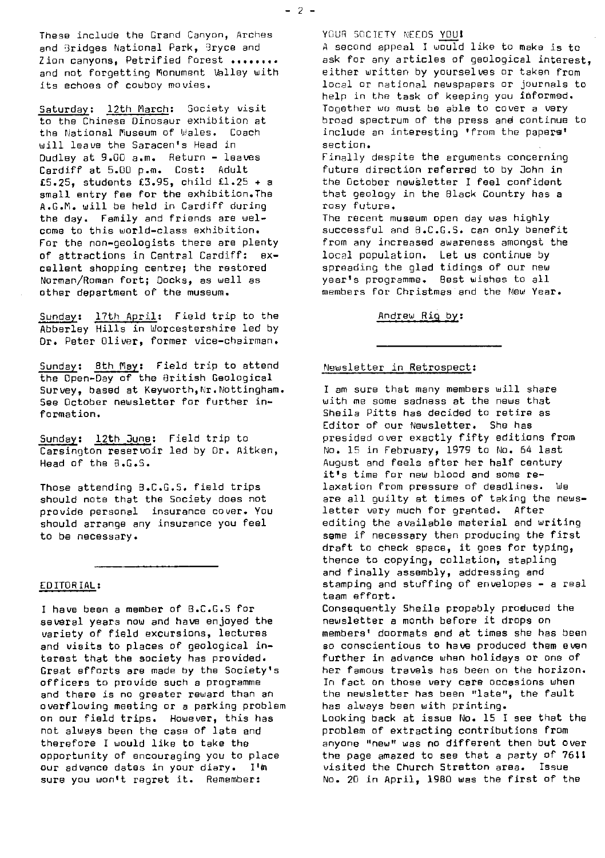These include the Grand Canyon, Arches and Bridges National Park, Bryce and Zion canyons. Petrified forest ........ and not forgetting Monument Ualley with its echoes of cowboy movies.

Saturday: 12th March: Society visit to the Chinese Dinosaur exhibition at the National Museum of Wales. Coach will leave the Saracen's Head in Dudley at 9.06 a.m. Return - leaves Cardiff at 5.00 p.m. Cost: Adult £5.25, students £3.95, child £1.25 + a small entry fee for the exhibition. The A.G.M. will be held in Cardiff during the day. Family and friends are welcome to this world-class exhibition. For the non-geologists there are plenty of attractions in Central Cardiff; excellent shopping centre; the restored Norman/Roman fort; Docks, as well as other department of the museum.

Sunday: 17th April: Field trip to the Abberley Hills in Worcestershire led by Dr. Peter Oliver, former vice-chairman.

Sunday: 8th May: Field trip to attend the Open-Day of the British Geological *Survey, based at* Keyworth,Nr.Nottingham. See October newsletter for further information.

Sunday: 12th June: Field trip to Carsington reservoir led by Dr. Aitken, Head of the R.G.S.

Those attending B.C.G.5. field trips should note that the Society does not provide personal insurance cover. You should arrange any insurance you feel to be necessary.

## EDITOR IAL :

I have been a member of B.C.G.S for several years now and have enjoyed the variety of field excursions, lectures and visits to places of geological interest that the society has provided. Great efforts are made by the Society's officers to provide such a programme and there is no greater reward than an overflowing meeting or a parking problem on our field trips. However, this has not always been the case of late and therefore I would like to take the opportunity of encouraging you to place our advance dates in your diary. I'm sure you won't regret it. Remember:

YOUR SOCIETY NEEDS YOU! A second appeal I would like to make is to ask for any articles of geological interest, either written by yourselves or taken from local or national newspapers or journals to help in the task of keeping you  $\tilde{\Omega}$  of  $\Omega$ Together we must be able to cover a very broad spectrum of the press and continue to include an interesting 'from the papers' section. Finally despite the arguments concerning

future direction referred to by John in the October newsletter I feel confident that geology in the Black Country has a rosy future.

The recent museum open day was highly successful and B.C.G.S. can only benefit from any increased awareness amongst the local population. Let us continue by spreading the glad tidings of our new year's programme. Best wishes to all members for Christmas and the New Year.

Andrew Rig by :

## Newsletter in Retro **pect :**

I am sure that many members will share with me some sadness at the news that Sheila Pitts has decided to retire as Editor of our Newsletter. She has presided over exactly fifty editions from No. 15 in February, 1979 to No. 64 last August and feels after her half century it's time for new blood and some relaxation from pressure of deadlines. We are all guilty at times of taking the newsletter very much for granted. After editing the available material and writing some if necessary then producing the first draft to check space, it goes for typing, thence to copying, collation, stapling and finally assembly, addressing and stamping and stuffing of envelopes - a real team effort. Consequently Sheila propably produced the newsletter a month before it drops on members' doormats and at times she has been so conscientious to have produced them even further in advance when holidays or one of her famous travels has been on the horizon. In fact on those very care occasions when the newsletter has been "late", the fault has always been with printing. Looking back at issue No. 15 I see that the problem of extracting contributions from anyone "new" was no different then but over the page amazed to see that a party of 7611 visited the Church Stratton area. Issue No. 20 in April, 1980 was the first of the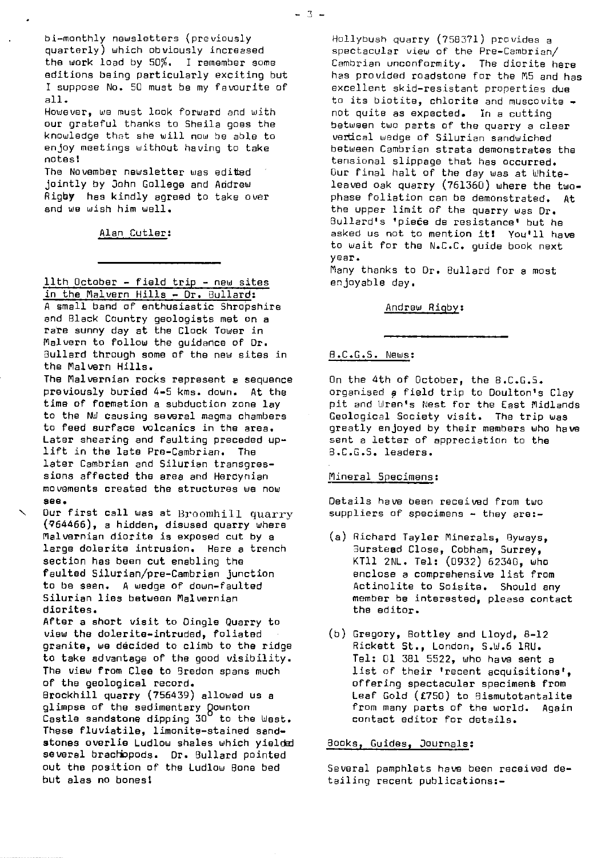bi-monthly newsletters (previously quarterly) which obviously increased the work load by 50%. I remember some editions being particularly exciting but I suppose No. 50 must be my favourite of all.

However, we must look forward and with our grateful thanks to Sheila goes the knowledge that she will now be able to enjoy meetings without having to take notes!

The November newsletter was edited jointly by John Gollege and Addrew Rigby has kindly agreed to take over and we wish him well.

Alan Cutler:

11th October - field trip - new sites in the Malvern Hills - Dr. Bullard:

A small band of enthusiastic Shropshire and Black Country geologists met on a rare sunny day at the Clock Tower in Malvern to follow the guidance of Dr. Bullard through some of the new sites in the Malvern Hills.

The Malvernian rocks represent a sequence previously buried 4-5 kms. down. At the time of formation a subduction zone lay to the Md causing several magma chambers to feed surface volcanics in the area. Later shearing and faulting preceded uplift in the late Pro-Cambrian. The later Cambrian and Silurian transgressions affected the area and Hercynian movements created the structures we now see.

Our first call was at Broomhill quarry  $(764466)$ , a hidden, disused quarry where Malvernian diorite is exposed cut by a large dolerite intrusion. Here a trench section has been cut enabling the faulted Silurian/pre-Cambrian junction to be seen. A wedge of down-faulted Silurian lies between Malvernian diorites.

a

After a short visit to Dingle Quarry to view the dolerite-intruded, foliated granite, we decided to climb to the ridge to take advantage of the good visibility. The view from Clee to 9redon spans much of the geological record.

Brockhill quarry (756439) allowed us a glimpse of the sedimentary gownton Castle sandstone dipping 30 to the West. These fluviatile, limonite-stained sandstones overlie Ludlow shales which yieldei several brachiopods. Dr. Bullard pointed out the position of the Ludlow Bone bed but alas no bones!

Hollybush quarry (758371) provides a spectacular view of the Pre-Cambrian/ Cambrian unconformity. The diorite here has provided roadstone for the M5 and has excellent skid-resistant properties due to its biotite, chlorite and muscovite not quite as expected. In a cutting between two parts of the quarry a clear vertical wedge of Silurian sandwiched between Cambrian strata demonstrates the tensional slippage that has occurred. Our final halt of the day was at Whiteleaved oak quarry (761360) where the twophase foliation can be demonstrated. At the upper limit of the quarry was Dr. Bullard's 'piece de resistance' but he asked us not to mention it! You'll have to wait for the N.C.C. guide book next year.

Many thanks to Dr. Bullard for a most enjoyable day.

#### Andrew Rigby:

#### A.C.G.S. News [:](news:)

On the 4th of October, the B.C.G.S. organised a field trip to Doulton's Clay pit and Wren's Nest for the East Midlands Geological Society visit. The trip was greatly enjoyed by their members who have sent a letter of appreciation to the B.C.G.S. leaders.

# Plineral Specimens :

Details have been received from two suppliers of specimens - they are:-

- (a) Richard Tayler Minerals, Byways, 3ursteed Close, Cobham, Surrey, KT11 2NL. Tel: (0932) 62340, who enclose a comprehensive list from Actinolite to Soisite. Should any member be interested, please contact the editor.
- (b) Gregory, Bottley and Lloyd, B-12 Rickett St., London, S.W.6 1RU. Tel: 01 381 5522, who have sent a list of their 'recent acquisitions', offering spectacular specimens from Leaf Gold (L750) to 9ismutetantalite from many parts of the world. Again contact editor for details.

#### Books, Guides, Journals:

Several pamphlets have been received detailing recent publications:-